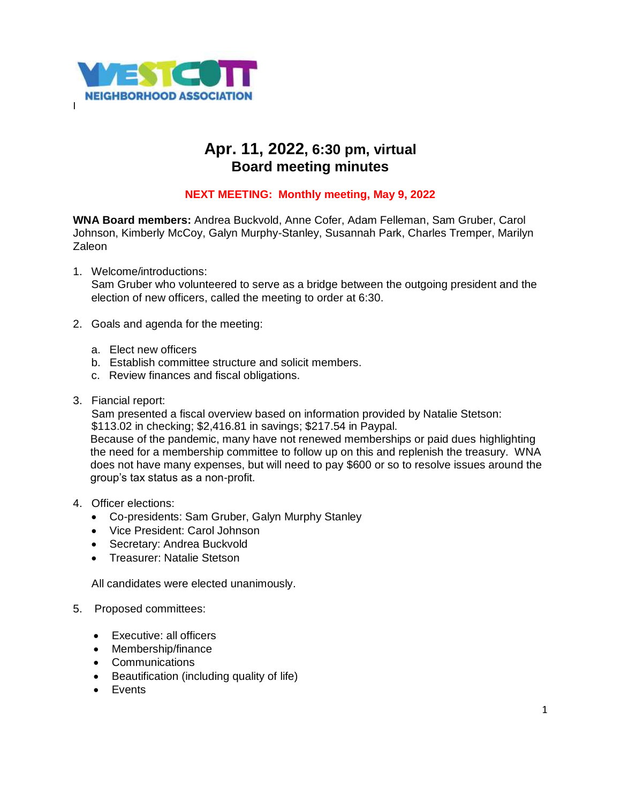

## **Apr. 11, 2022, 6:30 pm, virtual Board meeting minutes**

## **NEXT MEETING: Monthly meeting, May 9, 2022**

**WNA Board members:** Andrea Buckvold, Anne Cofer, Adam Felleman, Sam Gruber, Carol Johnson, Kimberly McCoy, Galyn Murphy-Stanley, Susannah Park, Charles Tremper, Marilyn **Zaleon** 

- 1. Welcome/introductions: Sam Gruber who volunteered to serve as a bridge between the outgoing president and the election of new officers, called the meeting to order at 6:30.
- 2. Goals and agenda for the meeting:
	- a. Elect new officers
	- b. Establish committee structure and solicit members.
	- c. Review finances and fiscal obligations.
- 3. Fiancial report:

Sam presented a fiscal overview based on information provided by Natalie Stetson:

\$113.02 in checking; \$2,416.81 in savings; \$217.54 in Paypal.

Because of the pandemic, many have not renewed memberships or paid dues highlighting the need for a membership committee to follow up on this and replenish the treasury. WNA does not have many expenses, but will need to pay \$600 or so to resolve issues around the group's tax status as a non-profit.

- 4. Officer elections:
	- Co-presidents: Sam Gruber, Galyn Murphy Stanley
	- Vice President: Carol Johnson
	- Secretary: Andrea Buckvold
	- Treasurer: Natalie Stetson

All candidates were elected unanimously.

## 5. Proposed committees:

- Executive: all officers
- Membership/finance
- Communications
- Beautification (including quality of life)
- Events